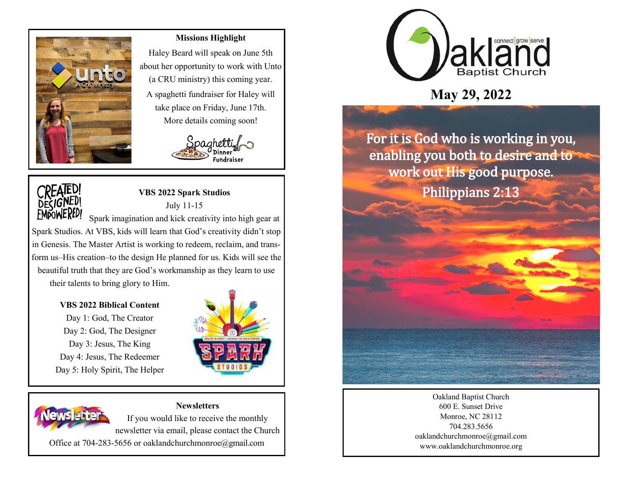

### **Missions Highlight**

Haley Beard will speak on June 5th about her opportunity to work with Unto (a CRU ministry) this coming year. A spaghetti fundraiser for Haley will take place on Friday, June 17th. More details coming soon!





# **VBS 2022 Spark Studios** July 11-15

Spark imagination and kick creativity into high gear at Spark Studios. At VBS, kids will learn that God's creativity didn't stop in Genesis. The Master Artist is working to redeem, reclaim, and transform us–His creation–to the design He planned for us. Kids will see the beautiful truth that they are God's workmanship as they learn to use their talents to bring glory to Him.

#### **VBS 2022 Biblical Content**

Day 1: God, The Creator Day 2: God, The Designer Day 3: Jesus, The King Day 4: Jesus, The Redeemer Day 5: Holy Spirit, The Helper





## **Newsletters**

If you would like to receive the monthly newsletter via email, please contact the Church

Office at 704-283-5656 or oaklandchurchmonroe@gmail.com



# **May 29, 2022**

For it is God who is working in you, enabling you both to desire and to work out His good purpose. Philippians 2:13